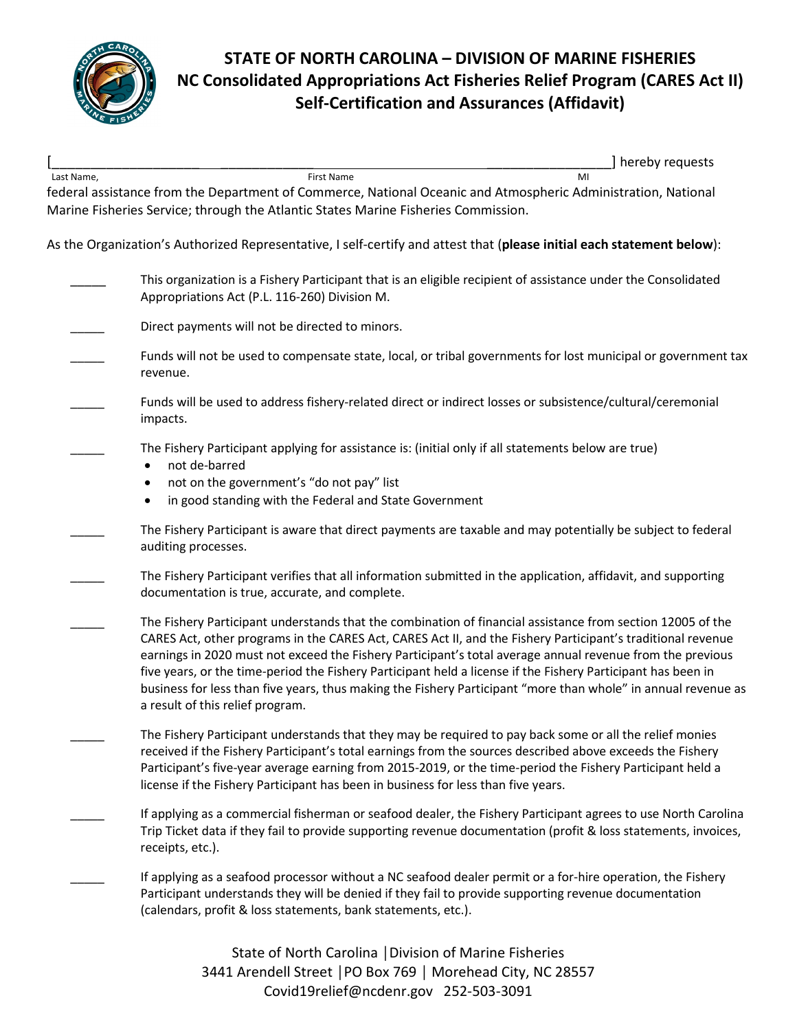

## **STATE OF NORTH CAROLINA – DIVISION OF MARINE FISHERIES NC Consolidated Appropriations Act Fisheries Relief Program (CARES Act II) Self-Certification and Assurances (Affidavit)**

|            |                                                                                                               | hereby requests                                                                                                        |
|------------|---------------------------------------------------------------------------------------------------------------|------------------------------------------------------------------------------------------------------------------------|
| Last Name, | First Name                                                                                                    | MI                                                                                                                     |
|            | federal assistance from the Department of Commerce, National Oceanic and Atmospheric Administration, National |                                                                                                                        |
|            | Marine Fisheries Service; through the Atlantic States Marine Fisheries Commission.                            |                                                                                                                        |
|            |                                                                                                               |                                                                                                                        |
|            |                                                                                                               | As the Organization's Authorized Representative, I self-certify and attest that (please initial each statement below): |

- This organization is a Fishery Participant that is an eligible recipient of assistance under the Consolidated Appropriations Act (P.L. 116-260) Division M.
- Direct payments will not be directed to minors.
- Funds will not be used to compensate state, local, or tribal governments for lost municipal or government tax revenue.
- Funds will be used to address fishery-related direct or indirect losses or subsistence/cultural/ceremonial impacts.
	- The Fishery Participant applying for assistance is: (initial only if all statements below are true)
		- not de-barred
		- not on the government's "do not pay" list
		- in good standing with the Federal and State Government
	- The Fishery Participant is aware that direct payments are taxable and may potentially be subject to federal auditing processes.
	- The Fishery Participant verifies that all information submitted in the application, affidavit, and supporting documentation is true, accurate, and complete.
- The Fishery Participant understands that the combination of financial assistance from section 12005 of the CARES Act, other programs in the CARES Act, CARES Act II, and the Fishery Participant's traditional revenue earnings in 2020 must not exceed the Fishery Participant's total average annual revenue from the previous five years, or the time-period the Fishery Participant held a license if the Fishery Participant has been in business for less than five years, thus making the Fishery Participant "more than whole" in annual revenue as a result of this relief program.
- The Fishery Participant understands that they may be required to pay back some or all the relief monies received if the Fishery Participant's total earnings from the sources described above exceeds the Fishery Participant's five-year average earning from 2015-2019, or the time-period the Fishery Participant held a license if the Fishery Participant has been in business for less than five years.
- If applying as a commercial fisherman or seafood dealer, the Fishery Participant agrees to use North Carolina Trip Ticket data if they fail to provide supporting revenue documentation (profit & loss statements, invoices, receipts, etc.).
	- If applying as a seafood processor without a NC seafood dealer permit or a for-hire operation, the Fishery Participant understands they will be denied if they fail to provide supporting revenue documentation (calendars, profit & loss statements, bank statements, etc.).

State of North Carolina │Division of Marine Fisheries 3441 Arendell Street │PO Box 769 │ Morehead City, NC 28557 [Covid19relief@ncdenr.gov](mailto:Covid19relief@ncdenr.gov) 252-503-3091